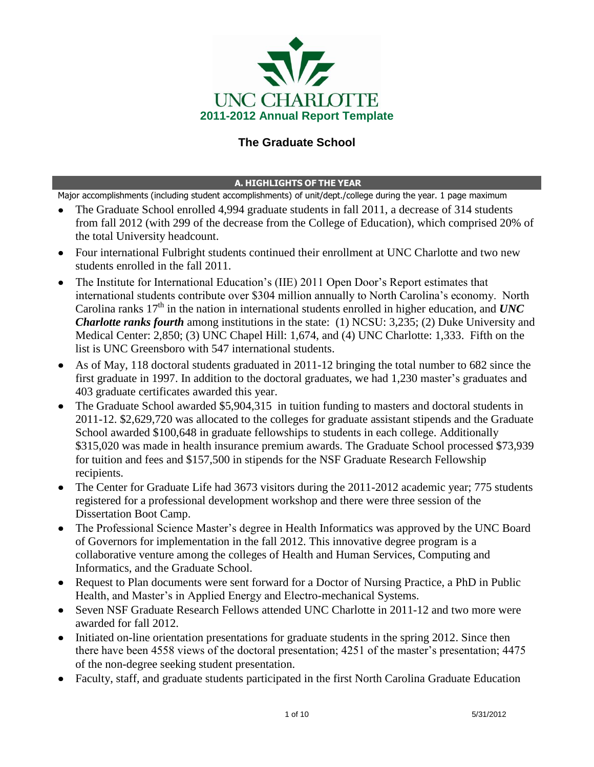

# **The Graduate School**

### **A. HIGHLIGHTS OF THE YEAR**

Major accomplishments (including student accomplishments) of unit/dept./college during the year. 1 page maximum

- The Graduate School enrolled 4,994 graduate students in fall 2011, a decrease of 314 students from fall 2012 (with 299 of the decrease from the College of Education), which comprised 20% of the total University headcount.
- Four international Fulbright students continued their enrollment at UNC Charlotte and two new students enrolled in the fall 2011.
- The Institute for International Education's (IIE) 2011 Open Door's Report estimates that international students contribute over \$304 million annually to North Carolina"s economy. North Carolina ranks  $17<sup>th</sup>$  in the nation in international students enrolled in higher education, and *UNC Charlotte ranks fourth* among institutions in the state: (1) NCSU: 3,235; (2) Duke University and Medical Center: 2,850; (3) UNC Chapel Hill: 1,674, and (4) UNC Charlotte: 1,333. Fifth on the list is UNC Greensboro with 547 international students.
- As of May, 118 doctoral students graduated in 2011-12 bringing the total number to 682 since the first graduate in 1997. In addition to the doctoral graduates, we had 1,230 master's graduates and 403 graduate certificates awarded this year.
- The Graduate School awarded \$5,904,315 in tuition funding to masters and doctoral students in 2011-12. \$2,629,720 was allocated to the colleges for graduate assistant stipends and the Graduate School awarded \$100,648 in graduate fellowships to students in each college. Additionally \$315,020 was made in health insurance premium awards. The Graduate School processed \$73,939 for tuition and fees and \$157,500 in stipends for the NSF Graduate Research Fellowship recipients.
- The Center for Graduate Life had 3673 visitors during the 2011-2012 academic year; 775 students registered for a professional development workshop and there were three session of the Dissertation Boot Camp.
- The Professional Science Master's degree in Health Informatics was approved by the UNC Board of Governors for implementation in the fall 2012. This innovative degree program is a collaborative venture among the colleges of Health and Human Services, Computing and Informatics, and the Graduate School.
- Request to Plan documents were sent forward for a Doctor of Nursing Practice, a PhD in Public Health, and Master's in Applied Energy and Electro-mechanical Systems.
- Seven NSF Graduate Research Fellows attended UNC Charlotte in 2011-12 and two more were awarded for fall 2012.
- Initiated on-line orientation presentations for graduate students in the spring 2012. Since then there have been 4558 views of the doctoral presentation; 4251 of the master"s presentation; 4475 of the non-degree seeking student presentation.
- Faculty, staff, and graduate students participated in the first North Carolina Graduate Education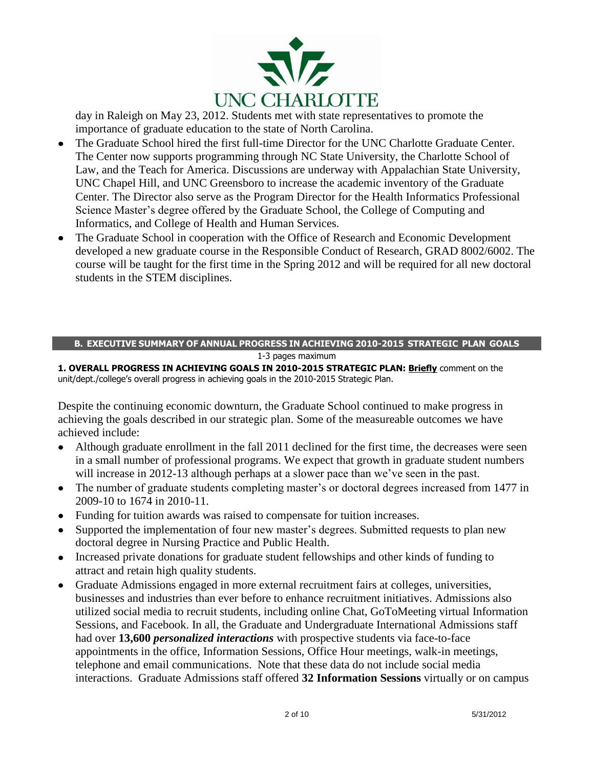

day in Raleigh on May 23, 2012. Students met with state representatives to promote the importance of graduate education to the state of North Carolina.

- The Graduate School hired the first full-time Director for the UNC Charlotte Graduate Center.  $\bullet$ The Center now supports programming through NC State University, the Charlotte School of Law, and the Teach for America. Discussions are underway with Appalachian State University, UNC Chapel Hill, and UNC Greensboro to increase the academic inventory of the Graduate Center. The Director also serve as the Program Director for the Health Informatics Professional Science Master"s degree offered by the Graduate School, the College of Computing and Informatics, and College of Health and Human Services.
- The Graduate School in cooperation with the Office of Research and Economic Development  $\bullet$ developed a new graduate course in the Responsible Conduct of Research, GRAD 8002/6002. The course will be taught for the first time in the Spring 2012 and will be required for all new doctoral students in the STEM disciplines.

#### **B. EXECUTIVE SUMMARY OF ANNUAL PROGRESS IN ACHIEVING 2010-2015 STRATEGIC PLAN GOALS** 1-3 pages maximum

#### **1. OVERALL PROGRESS IN ACHIEVING GOALS IN 2010-2015 STRATEGIC PLAN: Briefly** comment on the unit/dept./college's overall progress in achieving goals in the 2010-2015 Strategic Plan.

Despite the continuing economic downturn, the Graduate School continued to make progress in achieving the goals described in our strategic plan. Some of the measureable outcomes we have achieved include:

- Although graduate enrollment in the fall 2011 declined for the first time, the decreases were seen  $\bullet$ in a small number of professional programs. We expect that growth in graduate student numbers will increase in 2012-13 although perhaps at a slower pace than we've seen in the past.
- The number of graduate students completing master's or doctoral degrees increased from 1477 in 2009-10 to 1674 in 2010-11.
- Funding for tuition awards was raised to compensate for tuition increases.
- Supported the implementation of four new master"s degrees. Submitted requests to plan new  $\bullet$ doctoral degree in Nursing Practice and Public Health.
- Increased private donations for graduate student fellowships and other kinds of funding to attract and retain high quality students.
- Graduate Admissions engaged in more external recruitment fairs at colleges, universities,  $\bullet$ businesses and industries than ever before to enhance recruitment initiatives. Admissions also utilized social media to recruit students, including online Chat, GoToMeeting virtual Information Sessions, and Facebook. In all, the Graduate and Undergraduate International Admissions staff had over **13,600** *personalized interactions* with prospective students via face-to-face appointments in the office, Information Sessions, Office Hour meetings, walk-in meetings, telephone and email communications. Note that these data do not include social media interactions. Graduate Admissions staff offered **32 Information Sessions** virtually or on campus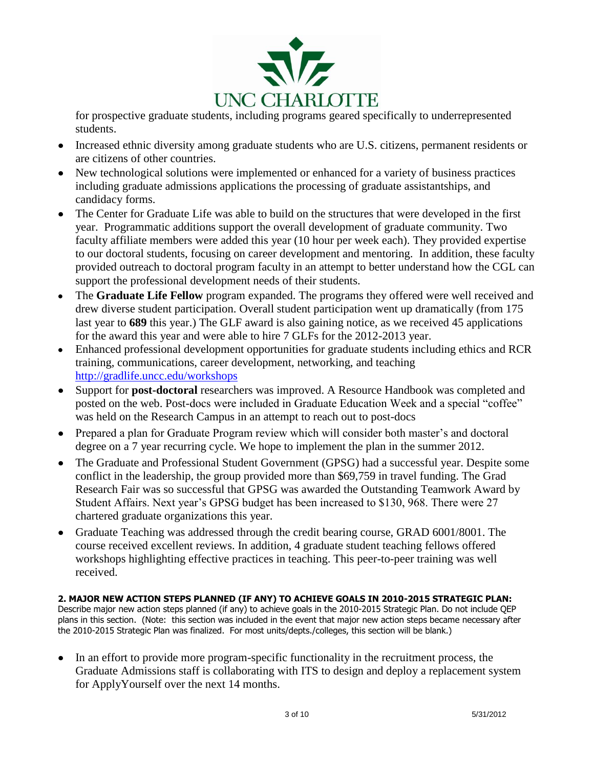

for prospective graduate students, including programs geared specifically to underrepresented students.

- Increased ethnic diversity among graduate students who are U.S. citizens, permanent residents or  $\bullet$ are citizens of other countries.
- New technological solutions were implemented or enhanced for a variety of business practices including graduate admissions applications the processing of graduate assistantships, and candidacy forms.
- The Center for Graduate Life was able to build on the structures that were developed in the first  $\bullet$ year. Programmatic additions support the overall development of graduate community. Two faculty affiliate members were added this year (10 hour per week each). They provided expertise to our doctoral students, focusing on career development and mentoring. In addition, these faculty provided outreach to doctoral program faculty in an attempt to better understand how the CGL can support the professional development needs of their students.
- The **Graduate Life Fellow** program expanded. The programs they offered were well received and drew diverse student participation. Overall student participation went up dramatically (from 175 last year to **689** this year.) The GLF award is also gaining notice, as we received 45 applications for the award this year and were able to hire 7 GLFs for the 2012-2013 year.
- $\bullet$ Enhanced professional development opportunities for graduate students including ethics and RCR training, communications, career development, networking, and teaching <http://gradlife.uncc.edu/workshops>
- Support for **post-doctoral** [researchers was improved. A Resource Handbook was completed and](file:///C:/Documents%20and%20Settings/tlreynol.UNCCHARLOTTE-NT/Application%20Data/Microsoft/Word/Support%20for%20post-doctoral%20researchers%20was%20improved.%20A%20Resource%20Handbook%20was%20completed%20and%20posted%20on%20the%20web.%20Post-docs%20were%20included%20in%20Graduate%20Education%20Week%20and%20a%20special%20“coffee”%20was%20held%20on%20the%20Research%20Campus%20in%20an%20attempt%20to%20reach%20out%20to%20post-docs%20http:/graduateschool.uncc.edu/sites/graduateschool.uncc.edu/files/media/Current_students/ta%20handbook%202011-2012.pdf)  posted on the [web. Post-docs were included in Graduate Education Week and a special "coffee"](file:///C:/Documents%20and%20Settings/tlreynol.UNCCHARLOTTE-NT/Application%20Data/Microsoft/Word/Support%20for%20post-doctoral%20researchers%20was%20improved.%20A%20Resource%20Handbook%20was%20completed%20and%20posted%20on%20the%20web.%20Post-docs%20were%20included%20in%20Graduate%20Education%20Week%20and%20a%20special%20“coffee”%20was%20held%20on%20the%20Research%20Campus%20in%20an%20attempt%20to%20reach%20out%20to%20post-docs%20http:/graduateschool.uncc.edu/sites/graduateschool.uncc.edu/files/media/Current_students/ta%20handbook%202011-2012.pdf)  [was held on the Research Campus in an attempt to reach out to post-docs](file:///C:/Documents%20and%20Settings/tlreynol.UNCCHARLOTTE-NT/Application%20Data/Microsoft/Word/Support%20for%20post-doctoral%20researchers%20was%20improved.%20A%20Resource%20Handbook%20was%20completed%20and%20posted%20on%20the%20web.%20Post-docs%20were%20included%20in%20Graduate%20Education%20Week%20and%20a%20special%20“coffee”%20was%20held%20on%20the%20Research%20Campus%20in%20an%20attempt%20to%20reach%20out%20to%20post-docs%20http:/graduateschool.uncc.edu/sites/graduateschool.uncc.edu/files/media/Current_students/ta%20handbook%202011-2012.pdf)
- Prepared a plan for Graduate Program review which will consider both master's and doctoral degree on a 7 year recurring cycle. We hope to implement the plan in the summer 2012.
- The Graduate and Professional Student Government (GPSG) had a successful year. Despite some  $\bullet$ conflict in the leadership, the group provided more than \$69,759 in travel funding. The Grad Research Fair was so successful that GPSG was awarded the Outstanding Teamwork Award by Student Affairs. Next year"s GPSG budget has been increased to \$130, 968. There were 27 chartered graduate organizations this year.
- Graduate Teaching was addressed through the credit bearing course, GRAD 6001/8001. The  $\bullet$ course received excellent reviews. In addition, 4 graduate student teaching fellows offered workshops highlighting effective practices in teaching. This peer-to-peer training was well received.

#### **2. MAJOR NEW ACTION STEPS PLANNED (IF ANY) TO ACHIEVE GOALS IN 2010-2015 STRATEGIC PLAN:**  Describe major new action steps planned (if any) to achieve goals in the 2010-2015 Strategic Plan. Do not include QEP plans in this section. (Note: this section was included in the event that major new action steps became necessary after the 2010-2015 Strategic Plan was finalized. For most units/depts./colleges, this section will be blank.)

• In an effort to provide more program-specific functionality in the recruitment process, the Graduate Admissions staff is collaborating with ITS to design and deploy a replacement system for ApplyYourself over the next 14 months.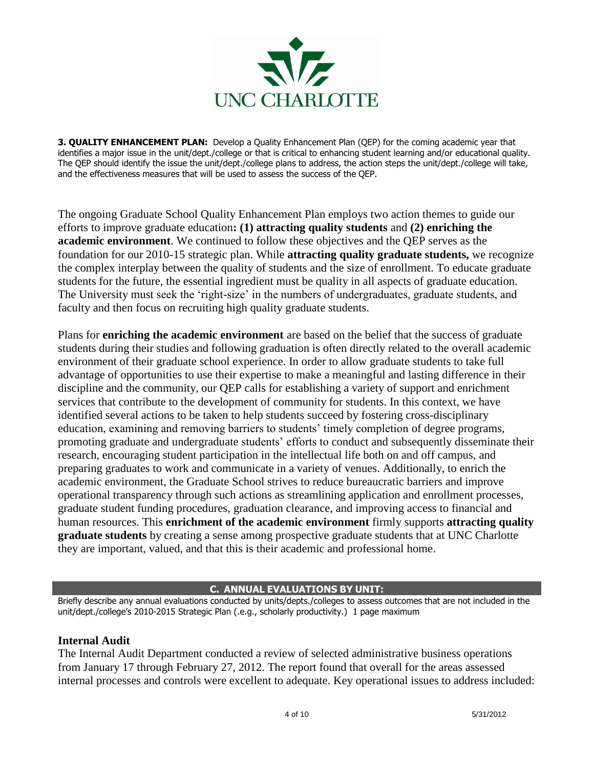

**3. QUALITY ENHANCEMENT PLAN:** Develop a Quality Enhancement Plan (QEP) for the coming academic year that identifies a major issue in the unit/dept./college or that is critical to enhancing student learning and/or educational quality. The QEP should identify the issue the unit/dept./college plans to address, the action steps the unit/dept./college will take, and the effectiveness measures that will be used to assess the success of the QEP.

The ongoing Graduate School Quality Enhancement Plan employs two action themes to guide our efforts to improve graduate education**: (1) attracting quality students** and **(2) enriching the academic environment**. We continued to follow these objectives and the QEP serves as the foundation for our 2010-15 strategic plan. While **attracting quality graduate students,** we recognize the complex interplay between the quality of students and the size of enrollment. To educate graduate students for the future, the essential ingredient must be quality in all aspects of graduate education. The University must seek the "right-size" in the numbers of undergraduates, graduate students, and faculty and then focus on recruiting high quality graduate students.

Plans for **enriching the academic environment** are based on the belief that the success of graduate students during their studies and following graduation is often directly related to the overall academic environment of their graduate school experience. In order to allow graduate students to take full advantage of opportunities to use their expertise to make a meaningful and lasting difference in their discipline and the community, our QEP calls for establishing a variety of support and enrichment services that contribute to the development of community for students. In this context, we have identified several actions to be taken to help students succeed by fostering cross-disciplinary education, examining and removing barriers to students' timely completion of degree programs, promoting graduate and undergraduate students" efforts to conduct and subsequently disseminate their research, encouraging student participation in the intellectual life both on and off campus, and preparing graduates to work and communicate in a variety of venues. Additionally, to enrich the academic environment, the Graduate School strives to reduce bureaucratic barriers and improve operational transparency through such actions as streamlining application and enrollment processes, graduate student funding procedures, graduation clearance, and improving access to financial and human resources. This **enrichment of the academic environment** firmly supports **attracting quality graduate students** by creating a sense among prospective graduate students that at UNC Charlotte they are important, valued, and that this is their academic and professional home.

### **C. ANNUAL EVALUATIONS BY UNIT:**

Briefly describe any annual evaluations conducted by units/depts./colleges to assess outcomes that are not included in the unit/dept./college's 2010-2015 Strategic Plan (.e.g., scholarly productivity.) 1 page maximum

#### **Internal Audit**

The Internal Audit Department conducted a review of selected administrative business operations from January 17 through February 27, 2012. The report found that overall for the areas assessed internal processes and controls were excellent to adequate. Key operational issues to address included: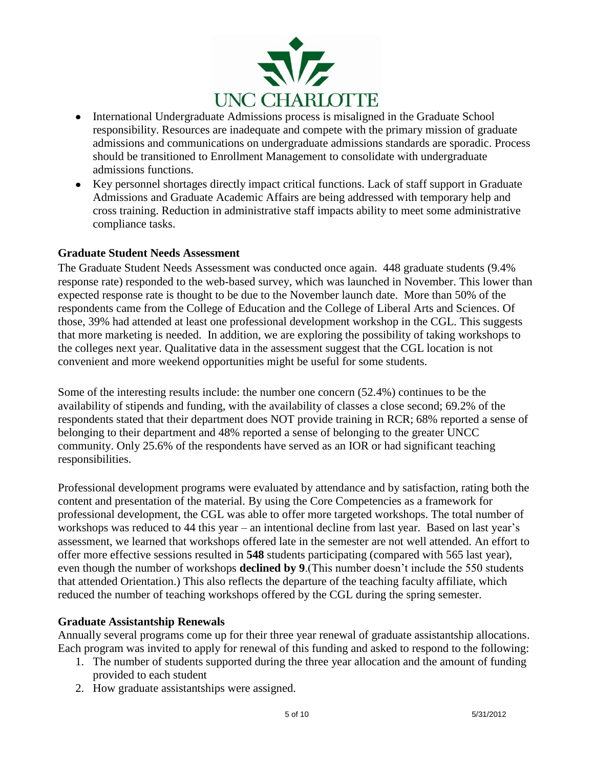

- International Undergraduate Admissions process is misaligned in the Graduate School  $\bullet$ responsibility. Resources are inadequate and compete with the primary mission of graduate admissions and communications on undergraduate admissions standards are sporadic. Process should be transitioned to Enrollment Management to consolidate with undergraduate admissions functions.
- Key personnel shortages directly impact critical functions. Lack of staff support in Graduate  $\bullet$ Admissions and Graduate Academic Affairs are being addressed with temporary help and cross training. Reduction in administrative staff impacts ability to meet some administrative compliance tasks.

## **Graduate Student Needs Assessment**

The Graduate Student Needs Assessment was conducted once again. 448 graduate students (9.4% response rate) responded to the web-based survey, which was launched in November. This lower than expected response rate is thought to be due to the November launch date. More than 50% of the respondents came from the College of Education and the College of Liberal Arts and Sciences. Of those, 39% had attended at least one professional development workshop in the CGL. This suggests that more marketing is needed. In addition, we are exploring the possibility of taking workshops to the colleges next year. Qualitative data in the assessment suggest that the CGL location is not convenient and more weekend opportunities might be useful for some students.

Some of the interesting results include: the number one concern (52.4%) continues to be the availability of stipends and funding, with the availability of classes a close second; 69.2% of the respondents stated that their department does NOT provide training in RCR; 68% reported a sense of belonging to their department and 48% reported a sense of belonging to the greater UNCC community. Only 25.6% of the respondents have served as an IOR or had significant teaching responsibilities.

Professional development programs were evaluated by attendance and by satisfaction, rating both the content and presentation of the material. By using the Core Competencies as a framework for professional development, the CGL was able to offer more targeted workshops. The total number of workshops was reduced to 44 this year – an intentional decline from last year. Based on last year"s assessment, we learned that workshops offered late in the semester are not well attended. An effort to offer more effective sessions resulted in **548** students participating (compared with 565 last year), even though the number of workshops **declined by 9**. (This number doesn't include the 550 students that attended Orientation.) This also reflects the departure of the teaching faculty affiliate, which reduced the number of teaching workshops offered by the CGL during the spring semester.

### **Graduate Assistantship Renewals**

Annually several programs come up for their three year renewal of graduate assistantship allocations. Each program was invited to apply for renewal of this funding and asked to respond to the following:

- 1. The number of students supported during the three year allocation and the amount of funding provided to each student
- 2. How graduate assistantships were assigned.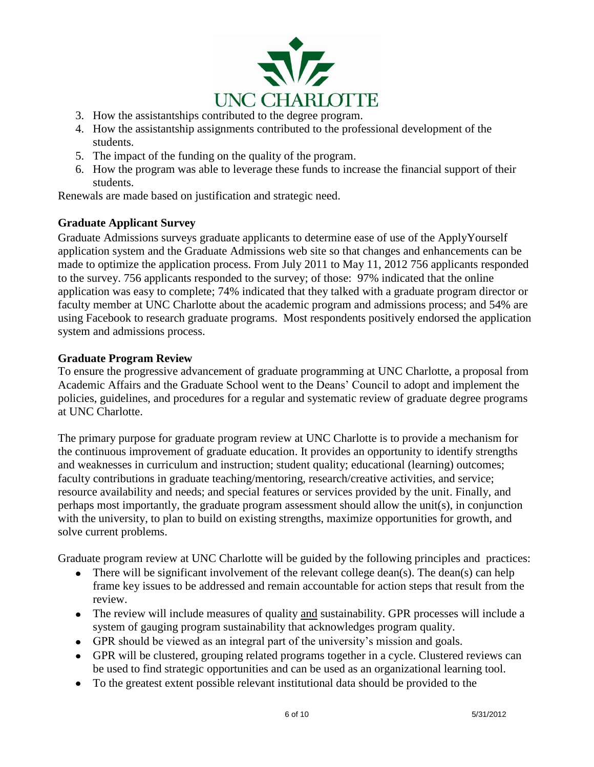

- 3. How the assistantships contributed to the degree program.
- 4. How the assistantship assignments contributed to the professional development of the students.
- 5. The impact of the funding on the quality of the program.
- 6. How the program was able to leverage these funds to increase the financial support of their students.

Renewals are made based on justification and strategic need.

## **Graduate Applicant Survey**

Graduate Admissions surveys graduate applicants to determine ease of use of the ApplyYourself application system and the Graduate Admissions web site so that changes and enhancements can be made to optimize the application process. From July 2011 to May 11, 2012 756 applicants responded to the survey. 756 applicants responded to the survey; of those: 97% indicated that the online application was easy to complete; 74% indicated that they talked with a graduate program director or faculty member at UNC Charlotte about the academic program and admissions process; and 54% are using Facebook to research graduate programs. Most respondents positively endorsed the application system and admissions process.

### **Graduate Program Review**

To ensure the progressive advancement of graduate programming at UNC Charlotte, a proposal from Academic Affairs and the Graduate School went to the Deans" Council to adopt and implement the policies, guidelines, and procedures for a regular and systematic review of graduate degree programs at UNC Charlotte.

The primary purpose for graduate program review at UNC Charlotte is to provide a mechanism for the continuous improvement of graduate education. It provides an opportunity to identify strengths and weaknesses in curriculum and instruction; student quality; educational (learning) outcomes; faculty contributions in graduate teaching/mentoring, research/creative activities, and service; resource availability and needs; and special features or services provided by the unit. Finally, and perhaps most importantly, the graduate program assessment should allow the unit( $s$ ), in conjunction with the university, to plan to build on existing strengths, maximize opportunities for growth, and solve current problems.

Graduate program review at UNC Charlotte will be guided by the following principles and practices:

- There will be significant involvement of the relevant college dean(s). The dean(s) can help  $\bullet$ frame key issues to be addressed and remain accountable for action steps that result from the review.
- The review will include measures of quality and sustainability. GPR processes will include a  $\bullet$ system of gauging program sustainability that acknowledges program quality.
- GPR should be viewed as an integral part of the university's mission and goals.  $\bullet$
- GPR will be clustered, grouping related programs together in a cycle. Clustered reviews can  $\bullet$ be used to find strategic opportunities and can be used as an organizational learning tool.
- $\bullet$ To the greatest extent possible relevant institutional data should be provided to the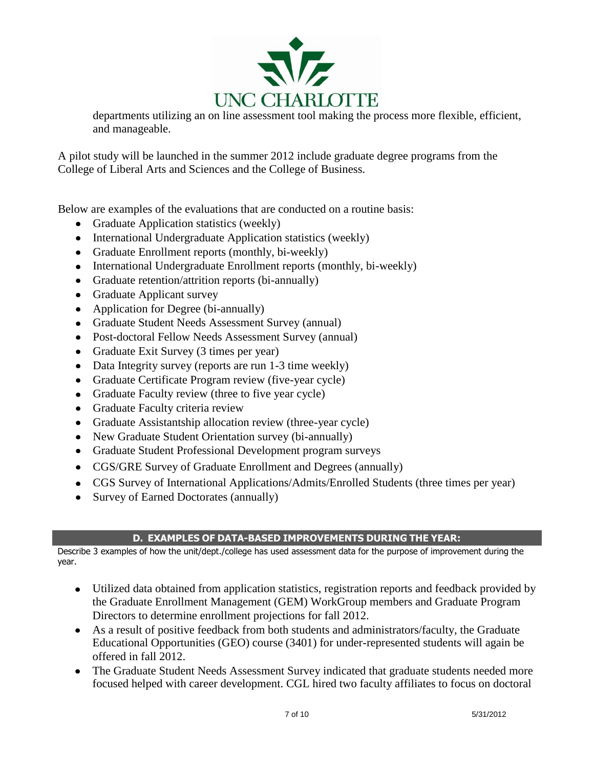

departments utilizing an on line assessment tool making the process more flexible, efficient, and manageable.

A pilot study will be launched in the summer 2012 include graduate degree programs from the College of Liberal Arts and Sciences and the College of Business.

Below are examples of the evaluations that are conducted on a routine basis:

- $\bullet$ Graduate Application statistics (weekly)
- International Undergraduate Application statistics (weekly)  $\bullet$
- Graduate Enrollment reports (monthly, bi-weekly)
- International Undergraduate Enrollment reports (monthly, bi-weekly)  $\bullet$
- $\bullet$ Graduate retention/attrition reports (bi-annually)
- $\bullet$ Graduate Applicant survey
- Application for Degree (bi-annually)  $\bullet$
- Graduate Student Needs Assessment Survey (annual)  $\bullet$
- Post-doctoral Fellow Needs Assessment Survey (annual)  $\bullet$
- Graduate Exit Survey (3 times per year)  $\bullet$
- Data Integrity survey (reports are run 1-3 time weekly)  $\bullet$
- Graduate Certificate Program review (five-year cycle)  $\bullet$
- Graduate Faculty review (three to five year cycle)  $\bullet$
- Graduate Faculty criteria review  $\bullet$
- Graduate Assistantship allocation review (three-year cycle)  $\bullet$
- New Graduate Student Orientation survey (bi-annually)  $\bullet$
- Graduate Student Professional Development program surveys  $\bullet$
- CGS/GRE Survey of Graduate Enrollment and Degrees (annually)  $\bullet$
- CGS Survey of International Applications/Admits/Enrolled Students (three times per year)  $\bullet$
- Survey of Earned Doctorates (annually)  $\bullet$

## **D. EXAMPLES OF DATA-BASED IMPROVEMENTS DURING THE YEAR:**

Describe 3 examples of how the unit/dept./college has used assessment data for the purpose of improvement during the year.

- $\bullet$ Utilized data obtained from application statistics, registration reports and feedback provided by the Graduate Enrollment Management (GEM) WorkGroup members and Graduate Program Directors to determine enrollment projections for fall 2012.
- As a result of positive feedback from both students and administrators/faculty, the Graduate Educational Opportunities (GEO) course (3401) for under-represented students will again be offered in fall 2012.
- The Graduate Student Needs Assessment Survey indicated that graduate students needed more focused helped with career development. CGL hired two faculty affiliates to focus on doctoral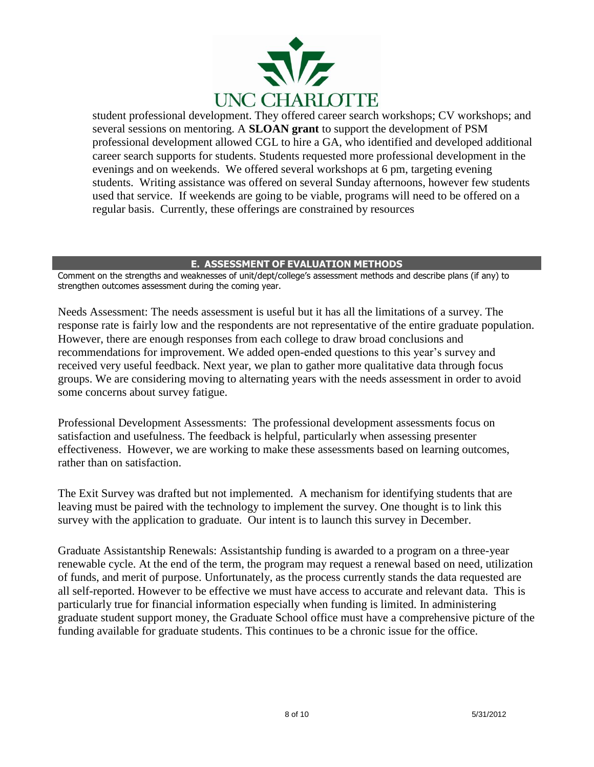

student professional development. They offered career search workshops; CV workshops; and several sessions on mentoring. A **SLOAN grant** to support the development of PSM professional development allowed CGL to hire a GA, who identified and developed additional career search supports for students. Students requested more professional development in the evenings and on weekends. We offered several workshops at 6 pm, targeting evening students. Writing assistance was offered on several Sunday afternoons, however few students used that service. If weekends are going to be viable, programs will need to be offered on a regular basis. Currently, these offerings are constrained by resources

#### **E. ASSESSMENT OF EVALUATION METHODS**

Comment on the strengths and weaknesses of unit/dept/college's assessment methods and describe plans (if any) to strengthen outcomes assessment during the coming year.

Needs Assessment: The needs assessment is useful but it has all the limitations of a survey. The response rate is fairly low and the respondents are not representative of the entire graduate population. However, there are enough responses from each college to draw broad conclusions and recommendations for improvement. We added open-ended questions to this year"s survey and received very useful feedback. Next year, we plan to gather more qualitative data through focus groups. We are considering moving to alternating years with the needs assessment in order to avoid some concerns about survey fatigue.

Professional Development Assessments: The professional development assessments focus on satisfaction and usefulness. The feedback is helpful, particularly when assessing presenter effectiveness. However, we are working to make these assessments based on learning outcomes, rather than on satisfaction.

The Exit Survey was drafted but not implemented. A mechanism for identifying students that are leaving must be paired with the technology to implement the survey. One thought is to link this survey with the application to graduate. Our intent is to launch this survey in December.

Graduate Assistantship Renewals: Assistantship funding is awarded to a program on a three-year renewable cycle. At the end of the term, the program may request a renewal based on need, utilization of funds, and merit of purpose. Unfortunately, as the process currently stands the data requested are all self-reported. However to be effective we must have access to accurate and relevant data. This is particularly true for financial information especially when funding is limited. In administering graduate student support money, the Graduate School office must have a comprehensive picture of the funding available for graduate students. This continues to be a chronic issue for the office.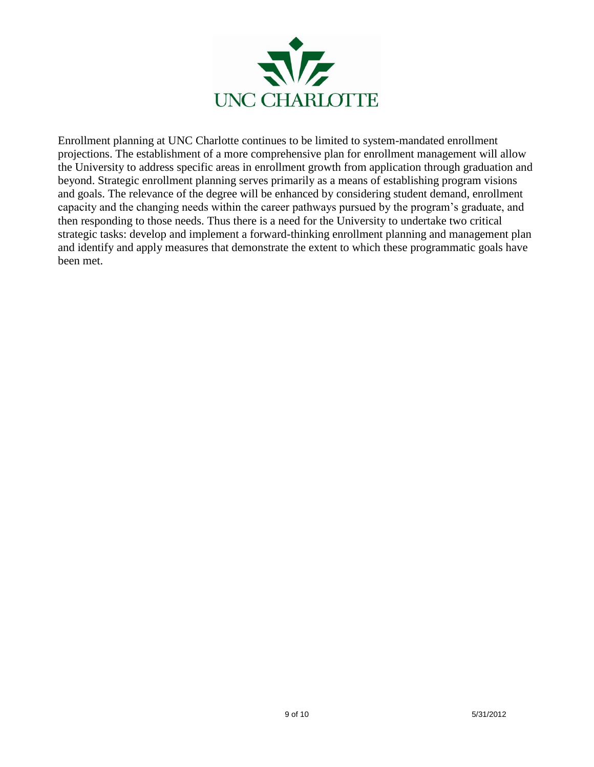

Enrollment planning at UNC Charlotte continues to be limited to system-mandated enrollment projections. The establishment of a more comprehensive plan for enrollment management will allow the University to address specific areas in enrollment growth from application through graduation and beyond. Strategic enrollment planning serves primarily as a means of establishing program visions and goals. The relevance of the degree will be enhanced by considering student demand, enrollment capacity and the changing needs within the career pathways pursued by the program"s graduate, and then responding to those needs. Thus there is a need for the University to undertake two critical strategic tasks: develop and implement a forward-thinking enrollment planning and management plan and identify and apply measures that demonstrate the extent to which these programmatic goals have been met.